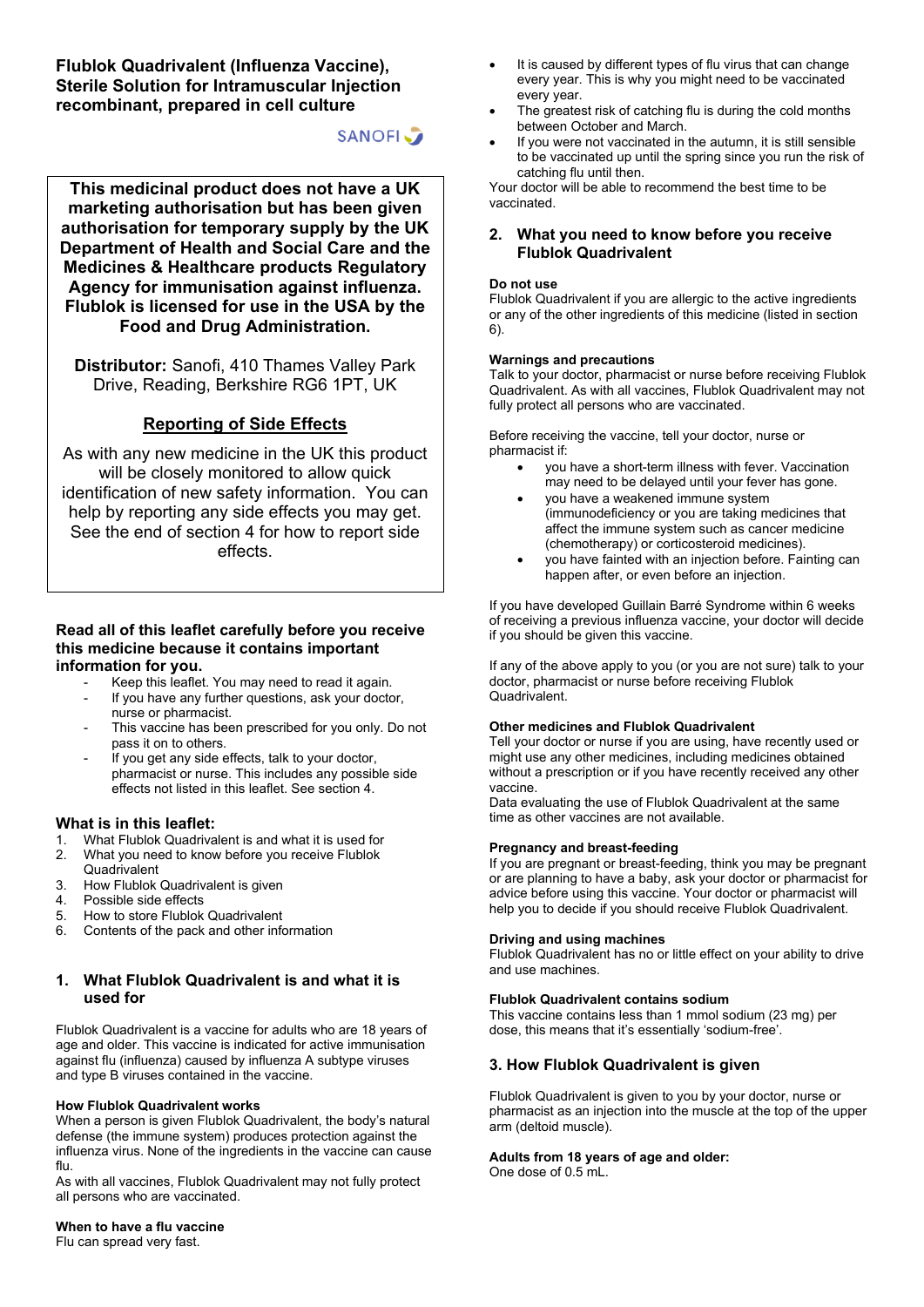**Flublok Quadrivalent (Influenza Vaccine), Sterile Solution for Intramuscular Injection recombinant, prepared in cell culture**

# **SANOFI**

**This medicinal product does not have a UK marketing authorisation but has been given authorisation for temporary supply by the UK Department of Health and Social Care and the Medicines & Healthcare products Regulatory Agency for immunisation against influenza. Flublok is licensed for use in the USA by the Food and Drug Administration.**

**Distributor:** Sanofi, 410 Thames Valley Park Drive, Reading, Berkshire RG6 1PT, UK

# **Reporting of Side Effects**

As with any new medicine in the UK this product will be closely monitored to allow quick identification of new safety information. You can help by reporting any side effects you may get. See the end of section 4 for how to report side effects.

# **Read all of this leaflet carefully before you receive this medicine because it contains important information for you.**

- Keep this leaflet. You may need to read it again.
- If you have any further questions, ask your doctor, nurse or pharmacist.
- This vaccine has been prescribed for you only. Do not pass it on to others.
- If you get any side effects, talk to your doctor, pharmacist or nurse. This includes any possible side effects not listed in this leaflet. See section 4.

# **What is in this leaflet:**<br>1 What Flublok Quadriva

- What Flublok Quadrivalent is and what it is used for
- 2. What you need to know before you receive Flublok **Quadrivalent**
- 3. How Flublok Quadrivalent is given
- 4. Possible side effects
- 5. How to store Flublok Quadrivalent
- 6. Contents of the pack and other information

# **1. What Flublok Quadrivalent is and what it is used for**

Flublok Quadrivalent is a vaccine for adults who are 18 years of age and older. This vaccine is indicated for active immunisation against flu (influenza) caused by influenza A subtype viruses and type B viruses contained in the vaccine.

#### **How Flublok Quadrivalent works**

When a person is given Flublok Quadrivalent, the body's natural defense (the immune system) produces protection against the influenza virus. None of the ingredients in the vaccine can cause flu.

As with all vaccines, Flublok Quadrivalent may not fully protect all persons who are vaccinated.

- It is caused by different types of flu virus that can change every year. This is why you might need to be vaccinated every year.
- The greatest risk of catching flu is during the cold months between October and March.
- If you were not vaccinated in the autumn, it is still sensible to be vaccinated up until the spring since you run the risk of catching flu until then.

Your doctor will be able to recommend the best time to be vaccinated.

# **2. What you need to know before you receive Flublok Quadrivalent**

#### **Do not use**

Flublok Quadrivalent if you are allergic to the active ingredients or any of the other ingredients of this medicine (listed in section 6).

#### **Warnings and precautions**

Talk to your doctor, pharmacist or nurse before receiving Flublok Quadrivalent. As with all vaccines, Flublok Quadrivalent may not fully protect all persons who are vaccinated.

Before receiving the vaccine, tell your doctor, nurse or pharmacist if:

- you have a short-term illness with fever. Vaccination may need to be delayed until your fever has gone.
- you have a weakened immune system (immunodeficiency or you are taking medicines that affect the immune system such as cancer medicine (chemotherapy) or corticosteroid medicines).
- you have fainted with an injection before. Fainting can happen after, or even before an injection.

If you have developed Guillain Barré Syndrome within 6 weeks of receiving a previous influenza vaccine, your doctor will decide if you should be given this vaccine.

If any of the above apply to you (or you are not sure) talk to your doctor, pharmacist or nurse before receiving Flublok Quadrivalent.

#### **Other medicines and Flublok Quadrivalent**

Tell your doctor or nurse if you are using, have recently used or might use any other medicines, including medicines obtained without a prescription or if you have recently received any other vaccine.

Data evaluating the use of Flublok Quadrivalent at the same time as other vaccines are not available.

#### **Pregnancy and breast-feeding**

If you are pregnant or breast-feeding, think you may be pregnant or are planning to have a baby, ask your doctor or pharmacist for advice before using this vaccine. Your doctor or pharmacist will help you to decide if you should receive Flublok Quadrivalent.

#### **Driving and using machines**

Flublok Quadrivalent has no or little effect on your ability to drive and use machines.

# **Flublok Quadrivalent contains sodium**

This vaccine contains less than 1 mmol sodium (23 mg) per dose, this means that it's essentially 'sodium-free'.

# **3. How Flublok Quadrivalent is given**

Flublok Quadrivalent is given to you by your doctor, nurse or pharmacist as an injection into the muscle at the top of the upper arm (deltoid muscle).

# **Adults from 18 years of age and older:**

One dose of 0.5 mL.

**When to have a flu vaccine** Flu can spread very fast.